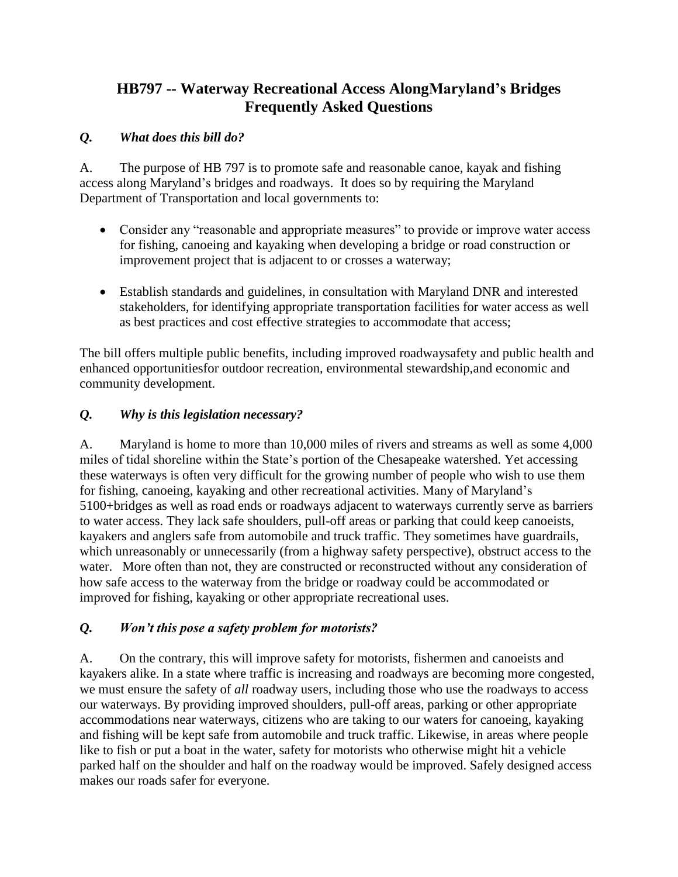# **HB797 -- Waterway Recreational Access AlongMaryland's Bridges Frequently Asked Questions**

### *Q. What does this bill do?*

A. The purpose of HB 797 is to promote safe and reasonable canoe, kayak and fishing access along Maryland's bridges and roadways. It does so by requiring the Maryland Department of Transportation and local governments to:

- Consider any "reasonable and appropriate measures" to provide or improve water access for fishing, canoeing and kayaking when developing a bridge or road construction or improvement project that is adjacent to or crosses a waterway;
- Establish standards and guidelines, in consultation with Maryland DNR and interested stakeholders, for identifying appropriate transportation facilities for water access as well as best practices and cost effective strategies to accommodate that access;

The bill offers multiple public benefits, including improved roadwaysafety and public health and enhanced opportunitiesfor outdoor recreation, environmental stewardship,and economic and community development.

### *Q. Why is this legislation necessary?*

A. Maryland is home to more than 10,000 miles of rivers and streams as well as some 4,000 miles of tidal shoreline within the State's portion of the Chesapeake watershed. Yet accessing these waterways is often very difficult for the growing number of people who wish to use them for fishing, canoeing, kayaking and other recreational activities. Many of Maryland's 5100+bridges as well as road ends or roadways adjacent to waterways currently serve as barriers to water access. They lack safe shoulders, pull-off areas or parking that could keep canoeists, kayakers and anglers safe from automobile and truck traffic. They sometimes have guardrails, which unreasonably or unnecessarily (from a highway safety perspective), obstruct access to the water. More often than not, they are constructed or reconstructed without any consideration of how safe access to the waterway from the bridge or roadway could be accommodated or improved for fishing, kayaking or other appropriate recreational uses.

### *Q. Won't this pose a safety problem for motorists?*

A. On the contrary, this will improve safety for motorists, fishermen and canoeists and kayakers alike. In a state where traffic is increasing and roadways are becoming more congested, we must ensure the safety of *all* roadway users, including those who use the roadways to access our waterways. By providing improved shoulders, pull-off areas, parking or other appropriate accommodations near waterways, citizens who are taking to our waters for canoeing, kayaking and fishing will be kept safe from automobile and truck traffic. Likewise, in areas where people like to fish or put a boat in the water, safety for motorists who otherwise might hit a vehicle parked half on the shoulder and half on the roadway would be improved. Safely designed access makes our roads safer for everyone.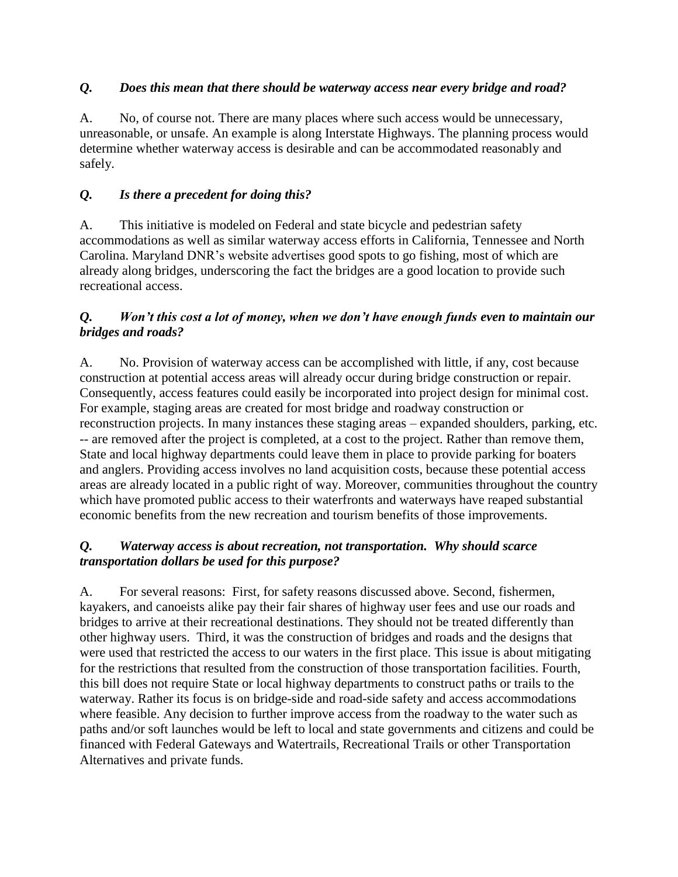#### *Q. Does this mean that there should be waterway access near every bridge and road?*

A. No, of course not. There are many places where such access would be unnecessary, unreasonable, or unsafe. An example is along Interstate Highways. The planning process would determine whether waterway access is desirable and can be accommodated reasonably and safely.

### *Q. Is there a precedent for doing this?*

A. This initiative is modeled on Federal and state bicycle and pedestrian safety accommodations as well as similar waterway access efforts in California, Tennessee and North Carolina. Maryland DNR's website advertises good spots to go fishing, most of which are already along bridges, underscoring the fact the bridges are a good location to provide such recreational access.

#### *Q. Won't this cost a lot of money, when we don't have enough funds even to maintain our bridges and roads?*

A. No. Provision of waterway access can be accomplished with little, if any, cost because construction at potential access areas will already occur during bridge construction or repair. Consequently, access features could easily be incorporated into project design for minimal cost. For example, staging areas are created for most bridge and roadway construction or reconstruction projects. In many instances these staging areas – expanded shoulders, parking, etc. -- are removed after the project is completed, at a cost to the project. Rather than remove them, State and local highway departments could leave them in place to provide parking for boaters and anglers. Providing access involves no land acquisition costs, because these potential access areas are already located in a public right of way. Moreover, communities throughout the country which have promoted public access to their waterfronts and waterways have reaped substantial economic benefits from the new recreation and tourism benefits of those improvements.

#### *Q. Waterway access is about recreation, not transportation. Why should scarce transportation dollars be used for this purpose?*

A. For several reasons: First, for safety reasons discussed above. Second, fishermen, kayakers, and canoeists alike pay their fair shares of highway user fees and use our roads and bridges to arrive at their recreational destinations. They should not be treated differently than other highway users. Third, it was the construction of bridges and roads and the designs that were used that restricted the access to our waters in the first place. This issue is about mitigating for the restrictions that resulted from the construction of those transportation facilities. Fourth, this bill does not require State or local highway departments to construct paths or trails to the waterway. Rather its focus is on bridge-side and road-side safety and access accommodations where feasible. Any decision to further improve access from the roadway to the water such as paths and/or soft launches would be left to local and state governments and citizens and could be financed with Federal Gateways and Watertrails, Recreational Trails or other Transportation Alternatives and private funds.